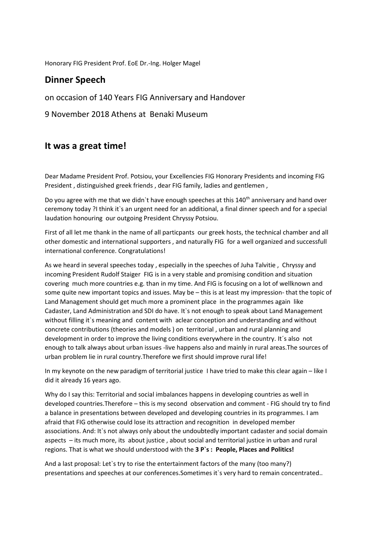Honorary FIG President Prof. EoE Dr.-Ing. Holger Magel

## **Dinner Speech**

on occasion of 140 Years FIG Anniversary and Handover

9 November 2018 Athens at Benaki Museum

## **It was a great time!**

Dear Madame President Prof. Potsiou, your Excellencies FIG Honorary Presidents and incoming FIG President , distinguished greek friends , dear FIG family, ladies and gentlemen ,

Do you agree with me that we didn't have enough speeches at this 140<sup>th</sup> anniversary and hand over ceremony today ?I think it`s an urgent need for an additional, a final dinner speech and for a special laudation honouring our outgoing President Chryssy Potsiou.

First of all let me thank in the name of all particpants our greek hosts, the technical chamber and all other domestic and international supporters , and naturally FIG for a well organized and successfull international conference. Congratulations!

As we heard in several speeches today , especially in the speeches of Juha Talvitie , Chryssy and incoming President Rudolf Staiger FIG is in a very stable and promising condition and situation covering much more countries e.g. than in my time. And FIG is focusing on a lot of wellknown and some quite new important topics and issues. May be – this is at least my impression- that the topic of Land Management should get much more a prominent place in the programmes again like Cadaster, Land Administration and SDI do have. It`s not enough to speak about Land Management without filling it's meaning and content with aclear conception and understanding and without concrete contributions (theories and models ) on territorial , urban and rural planning and development in order to improve the living conditions everywhere in the country. It´s also not enough to talk always about urban issues -live happens also and mainly in rural areas.The sources of urban problem lie in rural country.Therefore we first should improve rural life!

In my keynote on the new paradigm of territorial justice I have tried to make this clear again – like I did it already 16 years ago.

Why do I say this: Territorial and social imbalances happens in developing countries as well in developed countries.Therefore – this is my second observation and comment - FIG should try to find a balance in presentations between developed and developing countries in its programmes. I am afraid that FIG otherwise could lose its attraction and recognition in developed member associations. And: It`s not always only about the undoubtedly important cadaster and social domain aspects – its much more, its about justice , about social and territorial justice in urban and rural regions. That is what we should understood with the **3 P`s : People, Places and Politics!**

And a last proposal: Let`s try to rise the entertainment factors of the many (too many?) presentations and speeches at our conferences.Sometimes it`s very hard to remain concentrated..